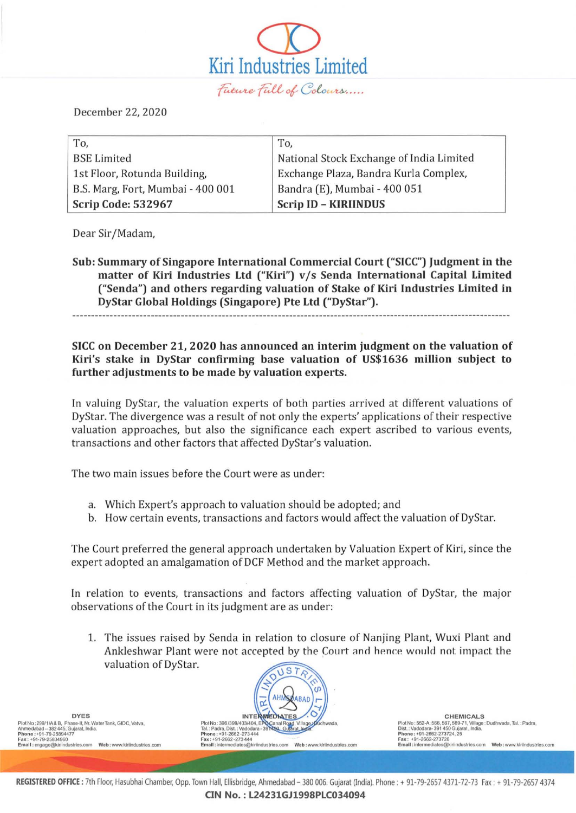Kiri Industries Limited<br>- *facure fall of Colours* 

 $\overline{\mathcal{D}}$ 

December 22, 2020

| To,                               | To,                                      |
|-----------------------------------|------------------------------------------|
| <b>BSE Limited</b>                | National Stock Exchange of India Limited |
| 1st Floor, Rotunda Building,      | Exchange Plaza, Bandra Kurla Complex,    |
| B.S. Marg, Fort, Mumbai - 400 001 | Bandra (E), Mumbai - 400 051             |
| <b>Scrip Code: 532967</b>         | <b>Scrip ID - KIRIINDUS</b>              |

Dear Sir/Madam,

Sub: Summary of Singapore International Commercial Court ("SICC") Judgment in the matter of Kiri Industries Ltd ("Kiri") v/s Senda International Capital Limited ("Senda") and others regarding valuation of Stake of Kiri Industries Limited in DyStar Global Holdings (Singapore) Pte Ltd ("DyStar").

## SICC on December 21, 2020 has announced an interim judgment on the valuation of Kiri's stake in DyStar confirming base valuation of US\$1636 million subject to further adjustments to be made by valuation experts.

In valuing DyStar, the valuation experts of both parties arrived at different valuations of DyStar. The divergence was a result of not only the experts' applications of their respective valuation approaches, but also the significance each expert ascribed to various events, transactions and other factors that affected DyStar's valuation.

The two main issues before the Court were as under:

- a. Which Expert's approach to valuation should be adopted; and
- b. How certain events, transactions and factors would affect the val uation of DyStar.

The Court preferred the general approach undertaken by Valuation Expert of Kiri, since the expert adopted an amalgamation of DCF Method and the market approach.

In relation to events, transactions and factors affecting valuation of DyStar, the major observations of the Court in its judgment are as under:

1. The issues raised by Senda in relation to closure of Nanjing Plant, Wuxi Plant and Ankleshwar Plant were not accepted by the Court and hence would not impact the valuation of DyStar. ST

 $\alpha$ DYES DYES<br>Piot No : 39911/A& B. Phase-II. Nr. Waler Tank, GIDC, Valva, Phase-II. Ne and Register and Register and Register and Register and Pial No of The Microsoft Annedabad −382 445, Gujarat, India .<br>Ahmedabad −382 445, المسيس بين المسيس بين المسيس بين المسيس بين المسيس بين المسيس بين المسيس بين المسيس بين المسيس بين المسيس بين المسيس بين المسيس بين المسيس بين المسيس بين المسيس بين المسيس المسيس والمسيس المسيس المسيس المسيس المسيس المسيس

Plot No : 552-A, 566, 567, 569-71, Village : Dudhwada, Tal.: Padra,<br>Dist.: Vadodara- 391 450 Gujarat, India. Dist. : Vadodara- 391 450 Gujarat, India

REGISTERED OFFICE: 7th Floor, Hasubhai Chamber, Opp. Town Hall, Ellisbridge, Ahmedabad - 380 006. Gujarat (India). Phone : + 91-79-2657 4371-72-73 Fax : + 91-79-2657 4374 CIN No. : L24231GJ1998PLC034094